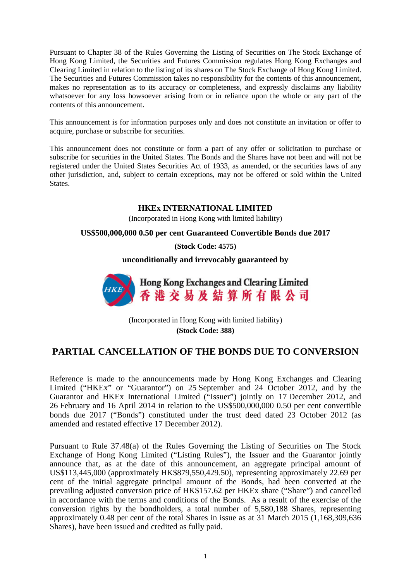Pursuant to Chapter 38 of the Rules Governing the Listing of Securities on The Stock Exchange of Hong Kong Limited, the Securities and Futures Commission regulates Hong Kong Exchanges and Clearing Limited in relation to the listing of its shares on The Stock Exchange of Hong Kong Limited. The Securities and Futures Commission takes no responsibility for the contents of this announcement, makes no representation as to its accuracy or completeness, and expressly disclaims any liability whatsoever for any loss howsoever arising from or in reliance upon the whole or any part of the contents of this announcement.

This announcement is for information purposes only and does not constitute an invitation or offer to acquire, purchase or subscribe for securities.

This announcement does not constitute or form a part of any offer or solicitation to purchase or subscribe for securities in the United States. The Bonds and the Shares have not been and will not be registered under the United States Securities Act of 1933, as amended, or the securities laws of any other jurisdiction, and, subject to certain exceptions, may not be offered or sold within the United States.

## **HKEx INTERNATIONAL LIMITED**

(Incorporated in Hong Kong with limited liability)

## **US\$500,000,000 0.50 per cent Guaranteed Convertible Bonds due 2017**

**(Stock Code: 4575)**

**unconditionally and irrevocably guaranteed by**



(Incorporated in Hong Kong with limited liability) **(Stock Code: 388)**

## **PARTIAL CANCELLATION OF THE BONDS DUE TO CONVERSION**

Reference is made to the announcements made by Hong Kong Exchanges and Clearing Limited ("HKEx" or "Guarantor") on 25 September and 24 October 2012, and by the Guarantor and HKEx International Limited ("Issuer") jointly on 17 December 2012, and 26 February and 16 April 2014 in relation to the US\$500,000,000 0.50 per cent convertible bonds due 2017 ("Bonds") constituted under the trust deed dated 23 October 2012 (as amended and restated effective 17 December 2012).

Pursuant to Rule 37.48(a) of the Rules Governing the Listing of Securities on The Stock Exchange of Hong Kong Limited ("Listing Rules"), the Issuer and the Guarantor jointly announce that, as at the date of this announcement, an aggregate principal amount of US\$113,445,000 (approximately HK\$879,550,429.50), representing approximately 22.69 per cent of the initial aggregate principal amount of the Bonds, had been converted at the prevailing adjusted conversion price of HK\$157.62 per HKEx share ("Share") and cancelled in accordance with the terms and conditions of the Bonds. As a result of the exercise of the conversion rights by the bondholders, a total number of 5,580,188 Shares, representing approximately 0.48 per cent of the total Shares in issue as at 31 March 2015 (1,168,309,636 Shares), have been issued and credited as fully paid.